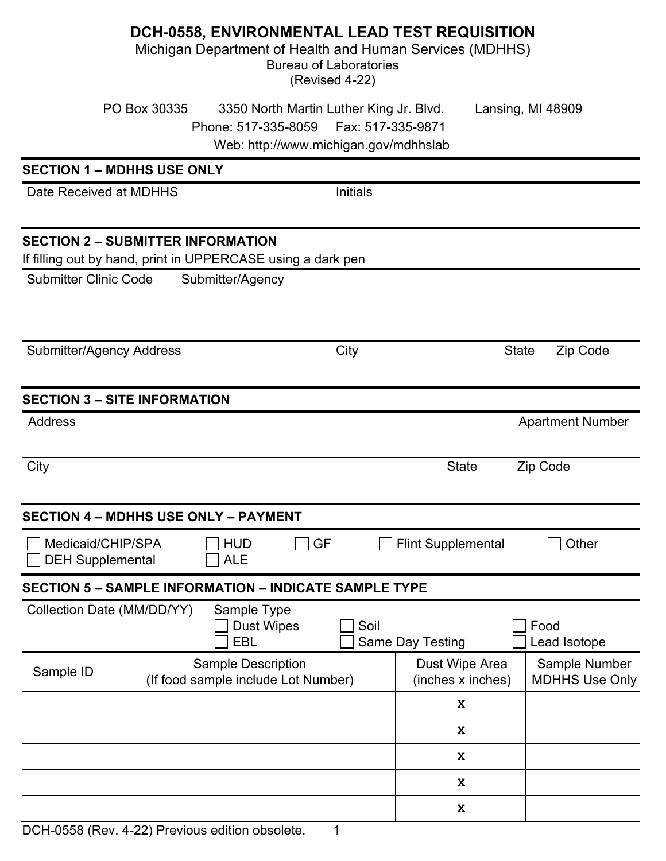|                                                                                                                                                                   |                                             | DCH-0558, ENVIRONMENTAL LEAD TEST REQUISITION<br>Michigan Department of Health and Human Services (MDHHS) | <b>Bureau of Laboratories</b><br>(Revised 4-22) |                                     |                                        |
|-------------------------------------------------------------------------------------------------------------------------------------------------------------------|---------------------------------------------|-----------------------------------------------------------------------------------------------------------|-------------------------------------------------|-------------------------------------|----------------------------------------|
| PO Box 30335<br>3350 North Martin Luther King Jr. Blvd.<br>Lansing, MI 48909<br>Phone: 517-335-8059<br>Fax: 517-335-9871<br>Web: http://www.michigan.gov/mdhhslab |                                             |                                                                                                           |                                                 |                                     |                                        |
|                                                                                                                                                                   | <b>SECTION 1 - MDHHS USE ONLY</b>           |                                                                                                           |                                                 |                                     |                                        |
|                                                                                                                                                                   | Date Received at MDHHS                      |                                                                                                           | <b>Initials</b>                                 |                                     |                                        |
|                                                                                                                                                                   | <b>SECTION 2 - SUBMITTER INFORMATION</b>    | If filling out by hand, print in UPPERCASE using a dark pen                                               |                                                 |                                     |                                        |
| <b>Submitter Clinic Code</b>                                                                                                                                      |                                             | Submitter/Agency                                                                                          |                                                 |                                     |                                        |
| <b>Submitter/Agency Address</b>                                                                                                                                   |                                             |                                                                                                           | City                                            |                                     | <b>State</b><br>Zip Code               |
|                                                                                                                                                                   | <b>SECTION 3 - SITE INFORMATION</b>         |                                                                                                           |                                                 |                                     |                                        |
| <b>Address</b>                                                                                                                                                    |                                             |                                                                                                           |                                                 |                                     | <b>Apartment Number</b>                |
| City                                                                                                                                                              |                                             |                                                                                                           |                                                 | <b>State</b>                        | Zip Code                               |
|                                                                                                                                                                   | <b>SECTION 4 - MDHHS USE ONLY - PAYMENT</b> |                                                                                                           |                                                 |                                     |                                        |
| Medicaid/CHIP/SPA<br><b>HUD</b><br>GF<br><b>ALE</b><br><b>DEH Supplemental</b>                                                                                    |                                             |                                                                                                           |                                                 | <b>Flint Supplemental</b>           | Other                                  |
|                                                                                                                                                                   |                                             | <b>SECTION 5 - SAMPLE INFORMATION - INDICATE SAMPLE TYPE</b>                                              |                                                 |                                     |                                        |
| Collection Date (MM/DD/YY)<br>Sample Type<br>Soil<br><b>Dust Wipes</b><br><b>EBL</b>                                                                              |                                             |                                                                                                           | Same Day Testing                                | Food<br>Lead Isotope                |                                        |
| Sample ID                                                                                                                                                         |                                             | <b>Sample Description</b><br>(If food sample include Lot Number)                                          |                                                 | Dust Wipe Area<br>(inches x inches) | Sample Number<br><b>MDHHS Use Only</b> |
|                                                                                                                                                                   |                                             |                                                                                                           |                                                 | X                                   |                                        |
|                                                                                                                                                                   |                                             |                                                                                                           |                                                 | X                                   |                                        |
|                                                                                                                                                                   |                                             |                                                                                                           |                                                 | X                                   |                                        |
|                                                                                                                                                                   |                                             |                                                                                                           |                                                 | X                                   |                                        |
|                                                                                                                                                                   |                                             |                                                                                                           |                                                 | X                                   |                                        |

DCH-0558 (Rev. 4-22) Previous edition obsolete. 1